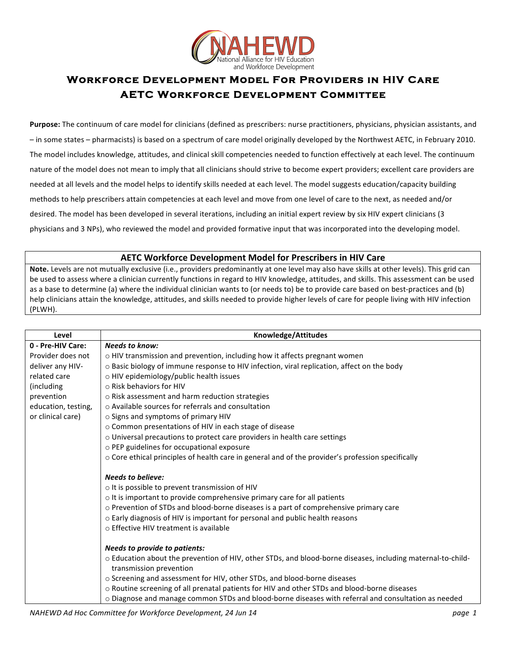

## **Workforce Development Model For Providers in HIV Care AETC Workforce Development Committee**

**Purpose:** The continuum of care model for clinicians (defined as prescribers: nurse practitioners, physicians, physician assistants, and  $-$  in some states – pharmacists) is based on a spectrum of care model originally developed by the Northwest AETC, in February 2010. The model includes knowledge, attitudes, and clinical skill competencies needed to function effectively at each level. The continuum nature of the model does not mean to imply that all clinicians should strive to become expert providers; excellent care providers are needed at all levels and the model helps to identify skills needed at each level. The model suggests education/capacity building methods to help prescribers attain competencies at each level and move from one level of care to the next, as needed and/or desired. The model has been developed in several iterations, including an initial expert review by six HIV expert clinicians (3 physicians and 3 NPs), who reviewed the model and provided formative input that was incorporated into the developing model.

## **AETC Workforce Development Model for Prescribers in HIV Care**

Note. Levels are not mutually exclusive (i.e., providers predominantly at one level may also have skills at other levels). This grid can be used to assess where a clinician currently functions in regard to HIV knowledge, attitudes, and skills. This assessment can be used as a base to determine (a) where the individual clinician wants to (or needs to) be to provide care based on best-practices and (b) help clinicians attain the knowledge, attitudes, and skills needed to provide higher levels of care for people living with HIV infection (PLWH).

| Level               | Knowledge/Attitudes                                                                                                                    |
|---------------------|----------------------------------------------------------------------------------------------------------------------------------------|
| 0 - Pre-HIV Care:   | <b>Needs to know:</b>                                                                                                                  |
| Provider does not   | o HIV transmission and prevention, including how it affects pregnant women                                                             |
| deliver any HIV-    | o Basic biology of immune response to HIV infection, viral replication, affect on the body                                             |
| related care        | o HIV epidemiology/public health issues                                                                                                |
| (including          | $\circ$ Risk behaviors for HIV                                                                                                         |
| prevention          | o Risk assessment and harm reduction strategies                                                                                        |
| education, testing, | ○ Available sources for referrals and consultation                                                                                     |
| or clinical care)   | o Signs and symptoms of primary HIV                                                                                                    |
|                     | o Common presentations of HIV in each stage of disease                                                                                 |
|                     | o Universal precautions to protect care providers in health care settings                                                              |
|                     | o PEP guidelines for occupational exposure                                                                                             |
|                     | o Core ethical principles of health care in general and of the provider's profession specifically                                      |
|                     |                                                                                                                                        |
|                     | <b>Needs to believe:</b>                                                                                                               |
|                     | o It is possible to prevent transmission of HIV                                                                                        |
|                     | o It is important to provide comprehensive primary care for all patients                                                               |
|                     | o Prevention of STDs and blood-borne diseases is a part of comprehensive primary care                                                  |
|                     | o Early diagnosis of HIV is important for personal and public health reasons                                                           |
|                     | o Effective HIV treatment is available                                                                                                 |
|                     |                                                                                                                                        |
|                     | <b>Needs to provide to patients:</b>                                                                                                   |
|                     | o Education about the prevention of HIV, other STDs, and blood-borne diseases, including maternal-to-child-<br>transmission prevention |
|                     | o Screening and assessment for HIV, other STDs, and blood-borne diseases                                                               |
|                     | o Routine screening of all prenatal patients for HIV and other STDs and blood-borne diseases                                           |
|                     | o Diagnose and manage common STDs and blood-borne diseases with referral and consultation as needed                                    |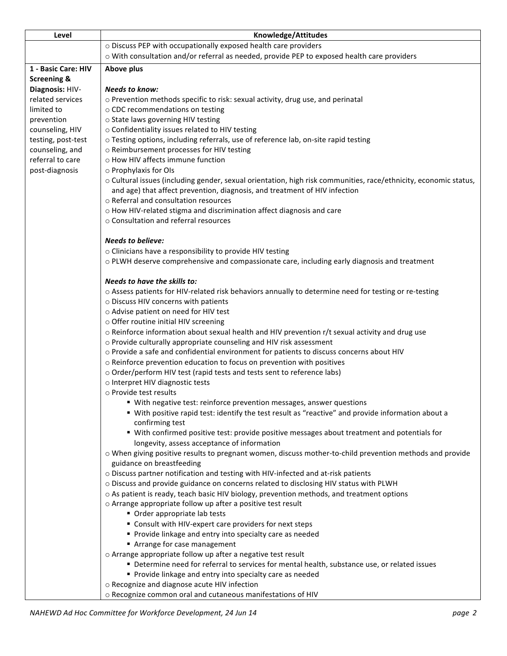| Level                  | Knowledge/Attitudes                                                                                                                                             |
|------------------------|-----------------------------------------------------------------------------------------------------------------------------------------------------------------|
|                        | o Discuss PEP with occupationally exposed health care providers                                                                                                 |
|                        | o With consultation and/or referral as needed, provide PEP to exposed health care providers                                                                     |
| 1 - Basic Care: HIV    | Above plus                                                                                                                                                      |
| <b>Screening &amp;</b> |                                                                                                                                                                 |
| Diagnosis: HIV-        | <b>Needs to know:</b>                                                                                                                                           |
| related services       | o Prevention methods specific to risk: sexual activity, drug use, and perinatal                                                                                 |
| limited to             | o CDC recommendations on testing                                                                                                                                |
| prevention             | o State laws governing HIV testing                                                                                                                              |
| counseling, HIV        | o Confidentiality issues related to HIV testing                                                                                                                 |
| testing, post-test     | o Testing options, including referrals, use of reference lab, on-site rapid testing                                                                             |
| counseling, and        | o Reimbursement processes for HIV testing                                                                                                                       |
| referral to care       | o How HIV affects immune function                                                                                                                               |
| post-diagnosis         | o Prophylaxis for OIs                                                                                                                                           |
|                        | o Cultural issues (including gender, sexual orientation, high risk communities, race/ethnicity, economic status,                                                |
|                        | and age) that affect prevention, diagnosis, and treatment of HIV infection                                                                                      |
|                        | o Referral and consultation resources                                                                                                                           |
|                        | o How HIV-related stigma and discrimination affect diagnosis and care                                                                                           |
|                        | o Consultation and referral resources                                                                                                                           |
|                        |                                                                                                                                                                 |
|                        | <b>Needs to believe:</b>                                                                                                                                        |
|                        | o Clinicians have a responsibility to provide HIV testing                                                                                                       |
|                        | o PLWH deserve comprehensive and compassionate care, including early diagnosis and treatment                                                                    |
|                        |                                                                                                                                                                 |
|                        | Needs to have the skills to:                                                                                                                                    |
|                        | o Assess patients for HIV-related risk behaviors annually to determine need for testing or re-testing                                                           |
|                        | o Discuss HIV concerns with patients                                                                                                                            |
|                        | o Advise patient on need for HIV test<br>o Offer routine initial HIV screening                                                                                  |
|                        |                                                                                                                                                                 |
|                        | $\circ$ Reinforce information about sexual health and HIV prevention r/t sexual activity and drug use                                                           |
|                        | o Provide culturally appropriate counseling and HIV risk assessment<br>o Provide a safe and confidential environment for patients to discuss concerns about HIV |
|                        | o Reinforce prevention education to focus on prevention with positives                                                                                          |
|                        | o Order/perform HIV test (rapid tests and tests sent to reference labs)                                                                                         |
|                        | o Interpret HIV diagnostic tests                                                                                                                                |
|                        | o Provide test results                                                                                                                                          |
|                        | " With negative test: reinforce prevention messages, answer questions                                                                                           |
|                        | " With positive rapid test: identify the test result as "reactive" and provide information about a                                                              |
|                        | confirming test                                                                                                                                                 |
|                        | " With confirmed positive test: provide positive messages about treatment and potentials for                                                                    |
|                        | longevity, assess acceptance of information                                                                                                                     |
|                        | o When giving positive results to pregnant women, discuss mother-to-child prevention methods and provide                                                        |
|                        | guidance on breastfeeding                                                                                                                                       |
|                        | o Discuss partner notification and testing with HIV-infected and at-risk patients                                                                               |
|                        | o Discuss and provide guidance on concerns related to disclosing HIV status with PLWH                                                                           |
|                        | o As patient is ready, teach basic HIV biology, prevention methods, and treatment options                                                                       |
|                        | o Arrange appropriate follow up after a positive test result                                                                                                    |
|                        | • Order appropriate lab tests                                                                                                                                   |
|                        | " Consult with HIV-expert care providers for next steps                                                                                                         |
|                        | Provide linkage and entry into specialty care as needed                                                                                                         |
|                        | Arrange for case management                                                                                                                                     |
|                        | o Arrange appropriate follow up after a negative test result                                                                                                    |
|                        | " Determine need for referral to services for mental health, substance use, or related issues                                                                   |
|                        | Provide linkage and entry into specialty care as needed                                                                                                         |
|                        | o Recognize and diagnose acute HIV infection                                                                                                                    |
|                        | o Recognize common oral and cutaneous manifestations of HIV                                                                                                     |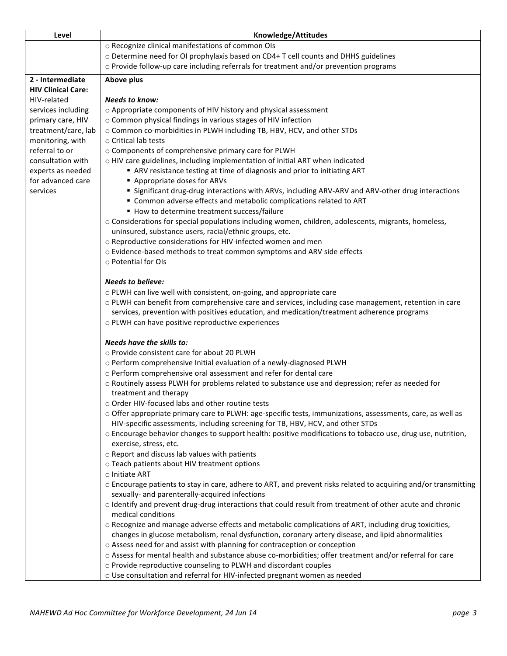| Level                                    | Knowledge/Attitudes                                                                                                                                                                                         |
|------------------------------------------|-------------------------------------------------------------------------------------------------------------------------------------------------------------------------------------------------------------|
|                                          | o Recognize clinical manifestations of common OIs                                                                                                                                                           |
|                                          | o Determine need for OI prophylaxis based on CD4+ T cell counts and DHHS guidelines                                                                                                                         |
|                                          | o Provide follow-up care including referrals for treatment and/or prevention programs                                                                                                                       |
| 2 - Intermediate                         | Above plus                                                                                                                                                                                                  |
| <b>HIV Clinical Care:</b>                |                                                                                                                                                                                                             |
| HIV-related                              | <b>Needs to know:</b>                                                                                                                                                                                       |
| services including                       | o Appropriate components of HIV history and physical assessment                                                                                                                                             |
| primary care, HIV<br>treatment/care, lab | o Common physical findings in various stages of HIV infection<br>o Common co-morbidities in PLWH including TB, HBV, HCV, and other STDs                                                                     |
| monitoring, with                         | ○ Critical lab tests                                                                                                                                                                                        |
| referral to or                           | o Components of comprehensive primary care for PLWH                                                                                                                                                         |
| consultation with                        | o HIV care guidelines, including implementation of initial ART when indicated                                                                                                                               |
| experts as needed                        | ARV resistance testing at time of diagnosis and prior to initiating ART                                                                                                                                     |
| for advanced care                        | Appropriate doses for ARVs                                                                                                                                                                                  |
| services                                 | " Significant drug-drug interactions with ARVs, including ARV-ARV and ARV-other drug interactions                                                                                                           |
|                                          | " Common adverse effects and metabolic complications related to ART                                                                                                                                         |
|                                          | How to determine treatment success/failure                                                                                                                                                                  |
|                                          | o Considerations for special populations including women, children, adolescents, migrants, homeless,                                                                                                        |
|                                          | uninsured, substance users, racial/ethnic groups, etc.<br>o Reproductive considerations for HIV-infected women and men                                                                                      |
|                                          | o Evidence-based methods to treat common symptoms and ARV side effects                                                                                                                                      |
|                                          | o Potential for OIs                                                                                                                                                                                         |
|                                          |                                                                                                                                                                                                             |
|                                          | <b>Needs to believe:</b>                                                                                                                                                                                    |
|                                          | o PLWH can live well with consistent, on-going, and appropriate care                                                                                                                                        |
|                                          | o PLWH can benefit from comprehensive care and services, including case management, retention in care                                                                                                       |
|                                          | services, prevention with positives education, and medication/treatment adherence programs                                                                                                                  |
|                                          | o PLWH can have positive reproductive experiences                                                                                                                                                           |
|                                          | Needs have the skills to:                                                                                                                                                                                   |
|                                          | o Provide consistent care for about 20 PLWH                                                                                                                                                                 |
|                                          | o Perform comprehensive Initial evaluation of a newly-diagnosed PLWH                                                                                                                                        |
|                                          | o Perform comprehensive oral assessment and refer for dental care                                                                                                                                           |
|                                          | o Routinely assess PLWH for problems related to substance use and depression; refer as needed for                                                                                                           |
|                                          | treatment and therapy                                                                                                                                                                                       |
|                                          | o Order HIV-focused labs and other routine tests                                                                                                                                                            |
|                                          | o Offer appropriate primary care to PLWH: age-specific tests, immunizations, assessments, care, as well as<br>HIV-specific assessments, including screening for TB, HBV, HCV, and other STDs                |
|                                          | o Encourage behavior changes to support health: positive modifications to tobacco use, drug use, nutrition,                                                                                                 |
|                                          | exercise, stress, etc.                                                                                                                                                                                      |
|                                          | o Report and discuss lab values with patients                                                                                                                                                               |
|                                          | o Teach patients about HIV treatment options                                                                                                                                                                |
|                                          | o Initiate ART                                                                                                                                                                                              |
|                                          | o Encourage patients to stay in care, adhere to ART, and prevent risks related to acquiring and/or transmitting                                                                                             |
|                                          | sexually- and parenterally-acquired infections                                                                                                                                                              |
|                                          | o Identify and prevent drug-drug interactions that could result from treatment of other acute and chronic                                                                                                   |
|                                          | medical conditions                                                                                                                                                                                          |
|                                          | o Recognize and manage adverse effects and metabolic complications of ART, including drug toxicities,<br>changes in glucose metabolism, renal dysfunction, coronary artery disease, and lipid abnormalities |
|                                          | o Assess need for and assist with planning for contraception or conception                                                                                                                                  |
|                                          | o Assess for mental health and substance abuse co-morbidities; offer treatment and/or referral for care                                                                                                     |
|                                          | o Provide reproductive counseling to PLWH and discordant couples                                                                                                                                            |
|                                          | o Use consultation and referral for HIV-infected pregnant women as needed                                                                                                                                   |
|                                          |                                                                                                                                                                                                             |